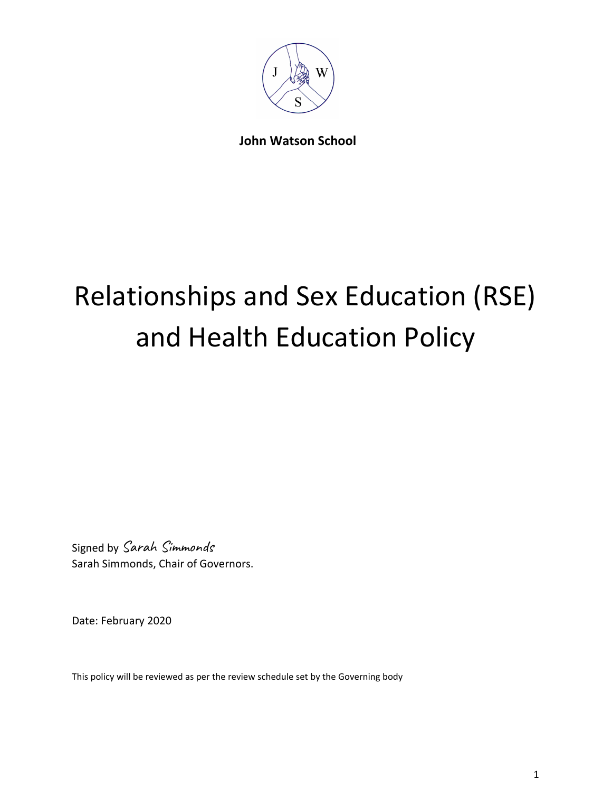

**John Watson School**

## Relationships and Sex Education (RSE) and Health Education Policy

Signed by Sarah Simmonds Sarah Simmonds, Chair of Governors.

Date: February 2020

This policy will be reviewed as per the review schedule set by the Governing body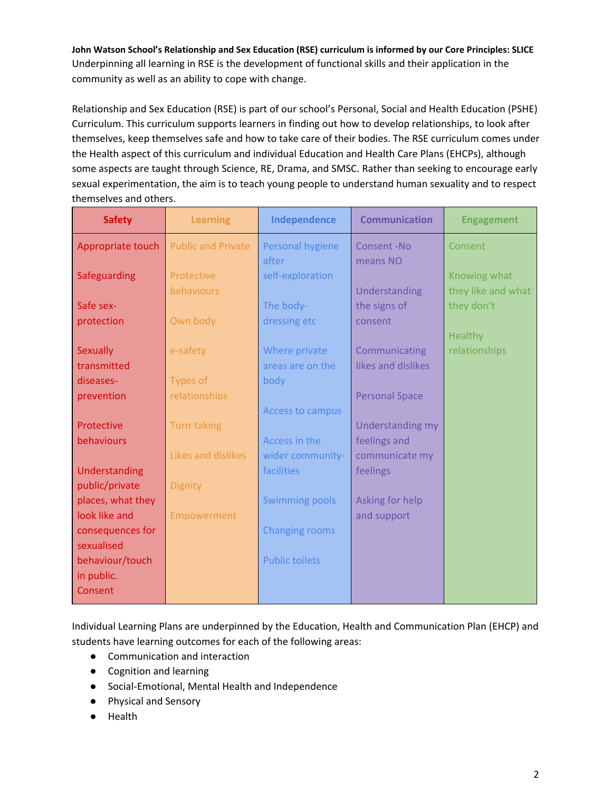**John Watson School's Relationship and Sex Education (RSE) curriculum is informed by our Core Principles: SLICE** Underpinning all learning in RSE is the development of functional skills and their application in the community as well as an ability to cope with change.

Relationship and Sex Education (RSE) is part of our school's Personal, Social and Health Education (PSHE) Curriculum. This curriculum supports learners in finding out how to develop relationships, to look after themselves, keep themselves safe and how to take care of their bodies. The RSE curriculum comes under the Health aspect of this curriculum and individual Education and Health Care Plans (EHCPs), although some aspects are taught through Science, RE, Drama, and SMSC. Rather than seeking to encourage early sexual experimentation, the aim is to teach young people to understand human sexuality and to respect themselves and others.

| <b>Safety</b>     | <b>Learning</b>           | Independence          | <b>Communication</b>  | <b>Engagement</b>  |
|-------------------|---------------------------|-----------------------|-----------------------|--------------------|
| Appropriate touch | <b>Public and Private</b> | Personal hygiene      | Consent-No            | Consent            |
|                   |                           | after                 | means NO              |                    |
| Safeguarding      | Protective                | self-exploration      |                       | Knowing what       |
|                   | behaviours                |                       | Understanding         | they like and what |
| Safe sex-         |                           | The body-             | the signs of          | they don't         |
| protection        | Own body                  | dressing etc          | consent               |                    |
|                   |                           |                       |                       | <b>Healthy</b>     |
| <b>Sexually</b>   | e-safety                  | Where private         | Communicating         | relationships      |
| transmitted       |                           | areas are on the      | likes and dislikes    |                    |
| diseases-         | Types of                  | body                  |                       |                    |
| prevention        | relationships             |                       | <b>Personal Space</b> |                    |
|                   |                           | Access to campus      |                       |                    |
| Protective        | <b>Turn-taking</b>        |                       | Understanding my      |                    |
| behaviours        |                           | Access in the         | feelings and          |                    |
|                   | Likes and dislikes        | wider community-      | communicate my        |                    |
| Understanding     |                           | facilities            | feelings              |                    |
| public/private    | <b>Dignity</b>            |                       |                       |                    |
| places, what they |                           | <b>Swimming pools</b> | Asking for help       |                    |
| look like and     | Empowerment               |                       | and support           |                    |
| consequences for  |                           | <b>Changing rooms</b> |                       |                    |
| sexualised        |                           |                       |                       |                    |
| behaviour/touch   |                           | <b>Public toilets</b> |                       |                    |
| in public.        |                           |                       |                       |                    |
| Consent           |                           |                       |                       |                    |
|                   |                           |                       |                       |                    |

Individual Learning Plans are underpinned by the Education, Health and Communication Plan (EHCP) and students have learning outcomes for each of the following areas:

- Communication and interaction
- Cognition and learning
- Social-Emotional, Mental Health and Independence
- Physical and Sensory
- Health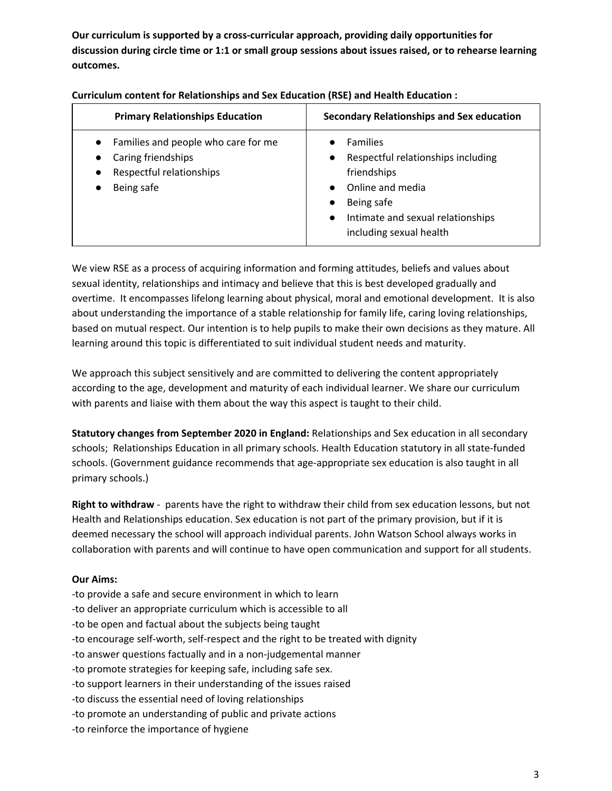**Our curriculum is supported by a cross-curricular approach, providing daily opportunities for discussion during circle time or 1:1 or small group sessions about issues raised, or to rehearse learning outcomes.**

| <b>Primary Relationships Education</b>                                                              | Secondary Relationships and Sex education                                                                                                                                           |
|-----------------------------------------------------------------------------------------------------|-------------------------------------------------------------------------------------------------------------------------------------------------------------------------------------|
| Families and people who care for me<br>Caring friendships<br>Respectful relationships<br>Being safe | <b>Families</b><br>Respectful relationships including<br>friendships<br>Online and media<br>Being safe<br>Intimate and sexual relationships<br>$\bullet$<br>including sexual health |

**Curriculum content for Relationships and Sex Education (RSE) and Health Education :**

We view RSE as a process of acquiring information and forming attitudes, beliefs and values about sexual identity, relationships and intimacy and believe that this is best developed gradually and overtime. It encompasses lifelong learning about physical, moral and emotional development. It is also about understanding the importance of a stable relationship for family life, caring loving relationships, based on mutual respect. Our intention is to help pupils to make their own decisions as they mature. All learning around this topic is differentiated to suit individual student needs and maturity.

We approach this subject sensitively and are committed to delivering the content appropriately according to the age, development and maturity of each individual learner. We share our curriculum with parents and liaise with them about the way this aspect is taught to their child.

**Statutory changes from September 2020 in England:** Relationships and Sex education in all secondary schools; Relationships Education in all primary schools. Health Education statutory in all state-funded schools. (Government guidance recommends that age-appropriate sex education is also taught in all primary schools.)

**Right to withdraw** - parents have the right to withdraw their child from sex education lessons, but not Health and Relationships education. Sex education is not part of the primary provision, but if it is deemed necessary the school will approach individual parents. John Watson School always works in collaboration with parents and will continue to have open communication and support for all students.

## **Our Aims:**

- -to provide a safe and secure environment in which to learn
- -to deliver an appropriate curriculum which is accessible to all
- -to be open and factual about the subjects being taught
- -to encourage self-worth, self-respect and the right to be treated with dignity
- -to answer questions factually and in a non-judgemental manner
- -to promote strategies for keeping safe, including safe sex.
- -to support learners in their understanding of the issues raised
- -to discuss the essential need of loving relationships
- -to promote an understanding of public and private actions
- -to reinforce the importance of hygiene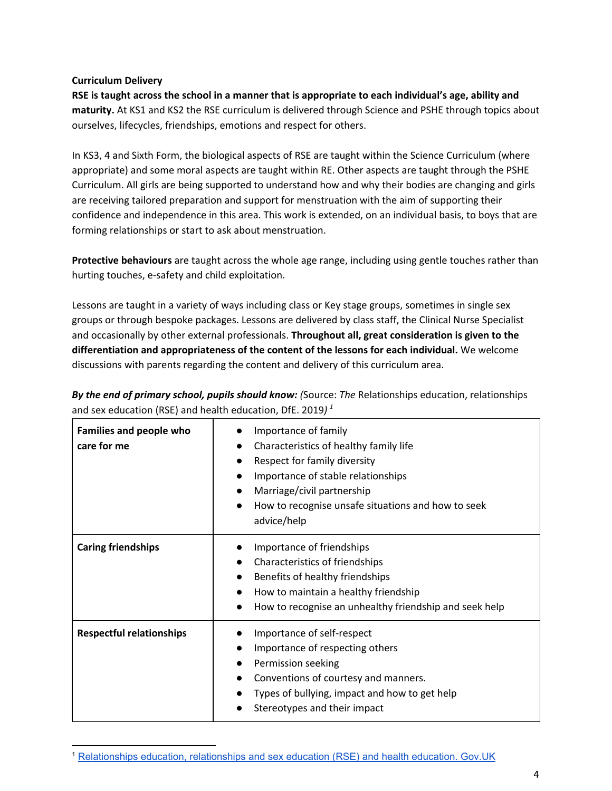## **Curriculum Delivery**

RSE is taught across the school in a manner that is appropriate to each individual's age, ability and **maturity.** At KS1 and KS2 the RSE curriculum is delivered through Science and PSHE through topics about ourselves, lifecycles, friendships, emotions and respect for others.

In KS3, 4 and Sixth Form, the biological aspects of RSE are taught within the Science Curriculum (where appropriate) and some moral aspects are taught within RE. Other aspects are taught through the PSHE Curriculum. All girls are being supported to understand how and why their bodies are changing and girls are receiving tailored preparation and support for menstruation with the aim of supporting their confidence and independence in this area. This work is extended, on an individual basis, to boys that are forming relationships or start to ask about menstruation.

**Protective behaviours** are taught across the whole age range, including using gentle touches rather than hurting touches, e-safety and child exploitation.

Lessons are taught in a variety of ways including class or Key stage groups, sometimes in single sex groups or through bespoke packages. Lessons are delivered by class staff, the Clinical Nurse Specialist and occasionally by other external professionals. **Throughout all, great consideration is given to the differentiation and appropriateness of the content of the lessons for each individual.** We welcome discussions with parents regarding the content and delivery of this curriculum area.

*By the end of primary school, pupils should know: (*Source: *The* Relationships education, relationships and sex education (RSE) and health education, DfE. 2019*) 1*

| <b>Families and people who</b><br>care for me | Importance of family<br>Characteristics of healthy family life<br>Respect for family diversity<br>Importance of stable relationships<br>Marriage/civil partnership<br>How to recognise unsafe situations and how to seek<br>advice/help |
|-----------------------------------------------|-----------------------------------------------------------------------------------------------------------------------------------------------------------------------------------------------------------------------------------------|
| <b>Caring friendships</b>                     | Importance of friendships<br>Characteristics of friendships<br>Benefits of healthy friendships<br>How to maintain a healthy friendship<br>How to recognise an unhealthy friendship and seek help                                        |
| <b>Respectful relationships</b>               | Importance of self-respect<br>Importance of respecting others<br>Permission seeking<br>$\bullet$<br>Conventions of courtesy and manners.<br>Types of bullying, impact and how to get help<br>Stereotypes and their impact               |

<sup>1</sup> [Relationships](https://www.gov.uk/government/publications/relationships-education-relationships-and-sex-education-rse-and-health-education) education, relationships and sex education (RSE) and health education. Gov.UK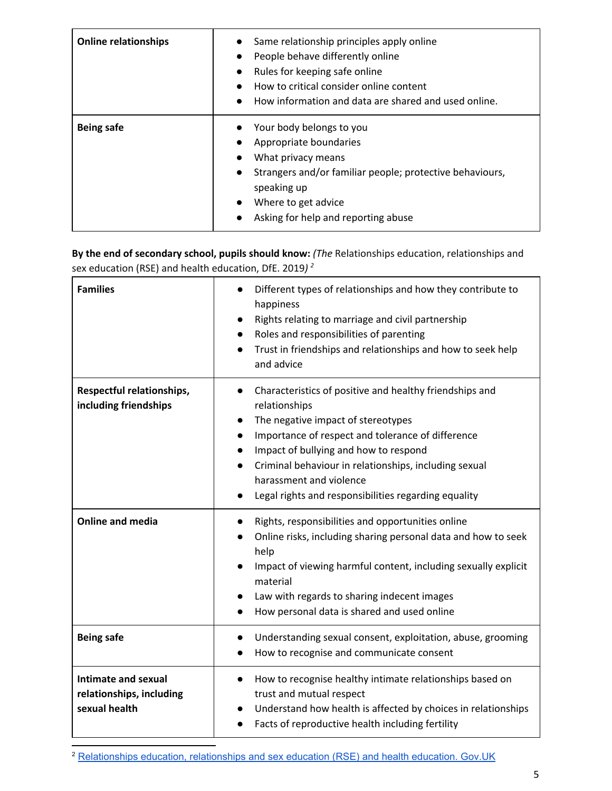| <b>Online relationships</b> | Same relationship principles apply online<br>$\bullet$<br>People behave differently online<br>$\bullet$<br>Rules for keeping safe online<br>How to critical consider online content<br>How information and data are shared and used online. |
|-----------------------------|---------------------------------------------------------------------------------------------------------------------------------------------------------------------------------------------------------------------------------------------|
| <b>Being safe</b>           | Your body belongs to you<br>Appropriate boundaries<br>What privacy means<br>Strangers and/or familiar people; protective behaviours,<br>$\bullet$<br>speaking up<br>Where to get advice<br>$\bullet$<br>Asking for help and reporting abuse |

**By the end of secondary school, pupils should know:** *(The* Relationships education, relationships and sex education (RSE) and health education, DfE. 2019*) 2*

| <b>Families</b>                                                  | Different types of relationships and how they contribute to<br>happiness<br>Rights relating to marriage and civil partnership<br>$\bullet$<br>Roles and responsibilities of parenting<br>Trust in friendships and relationships and how to seek help<br>$\bullet$<br>and advice                                                                                                                              |
|------------------------------------------------------------------|--------------------------------------------------------------------------------------------------------------------------------------------------------------------------------------------------------------------------------------------------------------------------------------------------------------------------------------------------------------------------------------------------------------|
| Respectful relationships,<br>including friendships               | Characteristics of positive and healthy friendships and<br>$\bullet$<br>relationships<br>The negative impact of stereotypes<br>Importance of respect and tolerance of difference<br>$\bullet$<br>Impact of bullying and how to respond<br>$\bullet$<br>Criminal behaviour in relationships, including sexual<br>$\bullet$<br>harassment and violence<br>Legal rights and responsibilities regarding equality |
| <b>Online and media</b>                                          | Rights, responsibilities and opportunities online<br>$\bullet$<br>Online risks, including sharing personal data and how to seek<br>help<br>Impact of viewing harmful content, including sexually explicit<br>material<br>Law with regards to sharing indecent images<br>$\bullet$<br>How personal data is shared and used online                                                                             |
| <b>Being safe</b>                                                | Understanding sexual consent, exploitation, abuse, grooming<br>$\bullet$<br>How to recognise and communicate consent<br>$\bullet$                                                                                                                                                                                                                                                                            |
| Intimate and sexual<br>relationships, including<br>sexual health | How to recognise healthy intimate relationships based on<br>$\bullet$<br>trust and mutual respect<br>Understand how health is affected by choices in relationships<br>Facts of reproductive health including fertility                                                                                                                                                                                       |

<sup>&</sup>lt;sup>2</sup> [Relationships](https://www.gov.uk/government/publications/relationships-education-relationships-and-sex-education-rse-and-health-education) education, relationships and sex education (RSE) and health education. Gov.UK